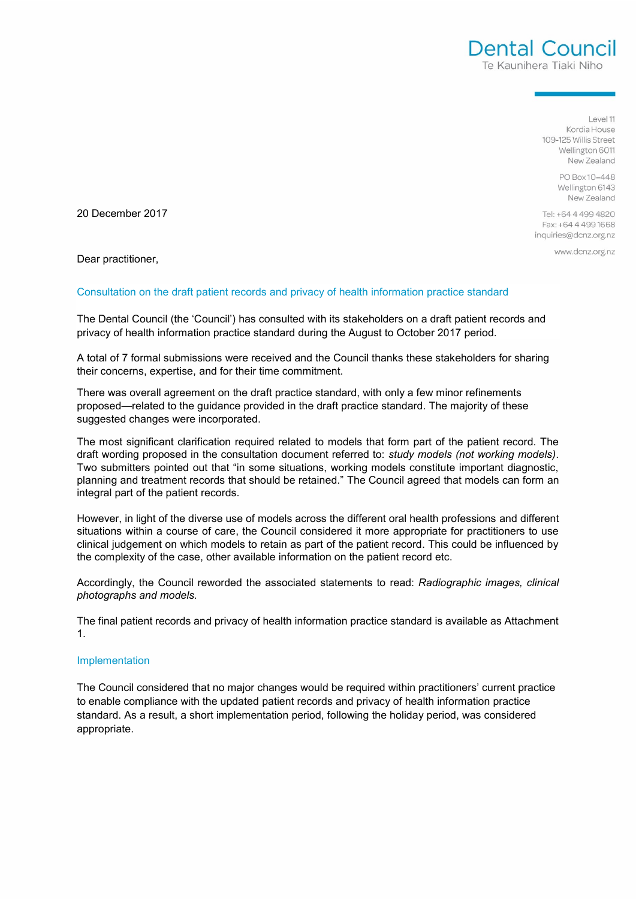$|$   $\rho$ <sub>10</sub> $|$  11 Kordia House 109-125 Willie Street Wellington 6011 New Zealand

Dental Council Te Kaunihera Tiaki Niho

> PO Box 10-448 Wellington 6143 New Zealand

Tel: +64 4 499 4820 Fax: +64 4 499 1668 inquiries@dcnz.org.nz

www.dcnz.org.nz

20 December 2017

Dear practitioner,

## Consultation on the draft patient records and privacy of health information practice standard

The Dental Council (the 'Council') has consulted with its stakeholders on a draft patient records and privacy of health information practice standard during the August to October 2017 period.

A total of 7 formal submissions were received and the Council thanks these stakeholders for sharing their concerns, expertise, and for their time commitment.

There was overall agreement on the draft practice standard, with only a few minor refinements proposed—related to the guidance provided in the draft practice standard. The majority of these suggested changes were incorporated.

The most significant clarification required related to models that form part of the patient record. The draft wording proposed in the consultation document referred to: *study models (not working models)*. Two submitters pointed out that "in some situations, working models constitute important diagnostic, planning and treatment records that should be retained." The Council agreed that models can form an integral part of the patient records.

However, in light of the diverse use of models across the different oral health professions and different situations within a course of care, the Council considered it more appropriate for practitioners to use clinical judgement on which models to retain as part of the patient record. This could be influenced by the complexity of the case, other available information on the patient record etc.

Accordingly, the Council reworded the associated statements to read: *Radiographic images, clinical photographs and models.*

The final patient records and privacy of health information practice standard is available as Attachment 1.

## Implementation

The Council considered that no major changes would be required within practitioners' current practice to enable compliance with the updated patient records and privacy of health information practice standard. As a result, a short implementation period, following the holiday period, was considered appropriate.